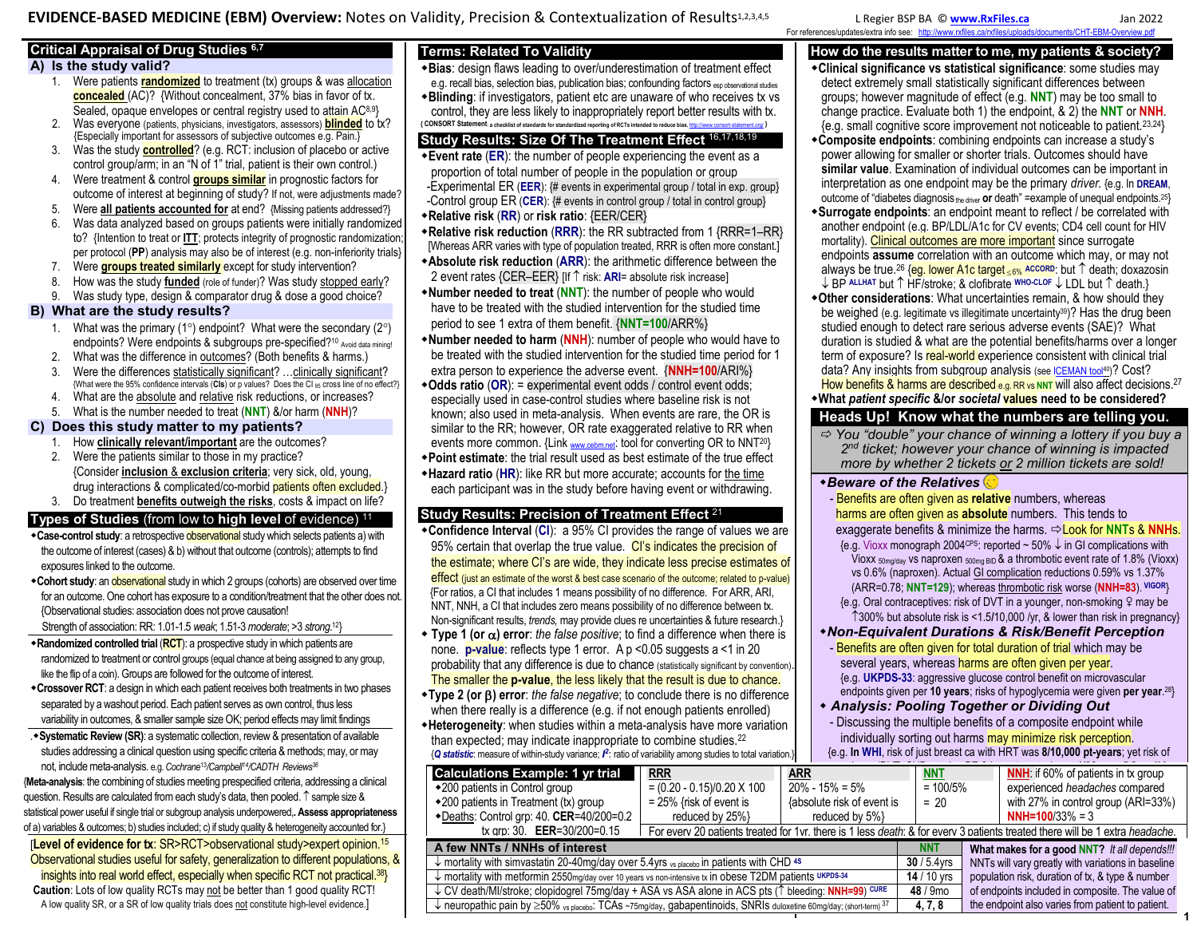**EVIDENCE-BASED MEDICINE (EBM) Overview:** Notes on Validity, Precision & Contextualization of Results[1,](#page-2-0)[2,](#page-2-1)[3,](#page-2-2)[4,](#page-2-3)[5](#page-2-4) L Regier BSP BA © **[www.RxFiles.ca](http://www.rxfiles.ca/)** Jan 2022

# **Critical Appraisal of Drug Studies [6,](#page-2-5)[7](#page-2-6)**

## **A) Is the study valid?**

- 1. Were patients **randomized** to treatment (tx) groups & was allocation **concealed** (AC)? {Without concealment, 37% bias in favor of tx. Sealed, opaque envelopes or central registry used to attain AC<sup>[8,](#page-2-7)[9](#page-2-8)</sup>}
- 2. Was everyone (patients, physicians, investigators, assessors) **blinded** to tx? {Especially important for assessors of subjective outcomes e.g. Pain.}
- 3. Was the study **controlled**? (e.g. RCT: inclusion of placebo or active control group/arm; in an "N of 1" trial, patient is their own control.)
- 4. Were treatment & control **groups similar** in prognostic factors for outcome of interest at beginning of study? If not, were adjustments made?
- 5. Were **all patients accounted for** at end? {Missing patients addressed?}
- 6. Was data analyzed based on groups patients were initially randomized to? {Intention to treat or **ITT**; protects integrity of prognostic randomization; per protocol (**PP**) analysis may also be of interest (e.g. non-inferiority trials}
- 7. Were **groups treated similarly** except for study intervention?
- 8. How was the study **funded** (role of funder)? Was study stopped early?
- 9. Was study type, design & comparator drug & dose a good choice?

## **B) What are the study results?**

- 1. What was the primary (1°) endpoint? What were the secondary (2°) endpoints? Were endpoints & subgroups pre-specified?<sup>[10](#page-2-9)</sup> Avoid data mining!
- 2. What was the difference in outcomes? (Both benefits & harms.)
- 3. Were the differences statistically significant? …clinically significant? {What were the 95% confidence intervals (**CIs**) or p values? Does the CI 95 cross line of no effect?}
- 4. What are the absolute and relative risk reductions, or increases?
- 5. What is the number needed to treat (**NNT**) &/or harm (**NNH**)?

## **C) Does this study matter to my patients?**

- 1. How **clinically relevant/important** are the outcomes? 2. Were the patients similar to those in my practice?
- {Consider **inclusion** & **exclusion criteria**; very sick, old, young, drug interactions & complicated/co-morbid patients often excluded.}
- 3. Do treatment **benefits outweigh the risks**, costs & impact on life?

## **Types of Studies** (from low to **high level** of evidence) [11](#page-2-10)

- **Case-control study**: a retrospective **observational** study which selects patients a) with the outcome of interest (cases) & b) without that outcome (controls); attempts to find exposures linked to the outcome.
- **Cohort study**: an **observational** study in which 2 groups (cohorts) are observed over time for an outcome. One cohort has exposure to a condition/treatment that the other does not. {Observational studies: association does not prove causation! Strength of association: RR: 1.01-1.5 *weak*; 1.51-3 *moderate*; >3 *strong*. [12](#page-2-11)}
- **Randomized controlled trial** (**RCT**): a prospective study in which patients are randomized to treatment or control groups (equal chance at being assigned to any group, like the flip of a coin). Groups are followed for the outcome of interest.
- **Crossover RCT**: a design in which each patient receives both treatments in two phases separated by a washout period. Each patient serves as own control, thus less variability in outcomes, & smaller sample size OK; period effects may limit findings
- .**Systematic Review (SR)**: a systematic collection, review & presentation of available studies addressing a clinical question using specific criteria & methods; may, or may not, include meta-analysis. e.g. *Cochran[e](#page-2-12)*<sup>13</sup>*/Campbell[14](#page-2-13)/CADTH Reviews<sup>36</sup>*

{**Meta-analysis**: the combining of studies meeting prespecified criteria, addressing a clinical question. Results are calculated from each study's data, then pooled.  $\uparrow$  sample size & statistical power useful if single trial or subgroup analysis underpowered,**. Assess appropriateness** of a) variables & outcomes; b) studies included; c) if study quality & heterogeneity accounted for.}

[**Level of evidence for tx**: SR>RCT>observational study>expert opinion.[15](#page-2-14) Observational studies useful for safety, generalization to different populations, & insights into real world effect, especially when specific RCT not practical.<sup>38</sup>} **Caution**: Lots of low quality RCTs may not be better than 1 good quality RCT! A low quality SR, or a SR of low quality trials does not constitute high-level evidence.]

# **Terms: Related To Validity**

- **Bias**: design flaws leading to over/underestimation of treatment effect
- e.g. recall bias, selection bias, publication bias; confounding factors esp observational studies **Blinding**: if investigators, patient etc are unaware of who receives tx vs control, they are less likely to inappropriately report better results with tx.
- **{ CONSORT Statement**: **a checklist of standards for standardized reporting of RCTs intended to reduce bias.** <http://www.consort-statement.org/> **} Study Results: Size Of The Treatment Effect** [16,](#page-2-15)[17,](#page-2-16)[18](#page-2-17)[,19](#page-2-18)
- **Event rate** (**ER**): the number of people experiencing the event as a proportion of total number of people in the population or group -Experimental ER (**EER**): {# events in experimental group / total in exp. group} -Control group ER (**CER**): {# events in control group / total in control group} **Relative risk** (**RR**) or **risk ratio**: {EER/CER}
- **Relative risk reduction** (**RRR**): the RR subtracted from 1 {RRR=1–RR} [Whereas ARR varies with type of population treated, RRR is often more constant.]
- **Absolute risk reduction** (**ARR**): the arithmetic difference between the 2 event rates {CER–EER} [If  $\uparrow$  risk: **ARI**= absolute risk increase]
- **Number needed to treat** (**NNT**): the number of people who would have to be treated with the studied intervention for the studied time period to see 1 extra of them benefit. {**NNT=100**/ARR%}
- **Number needed to harm** (**NNH**): number of people who would have to be treated with the studied intervention for the studied time period for 1 extra person to experience the adverse event. {**NNH=100**/ARI%}
- **Odds ratio** (**OR**): = experimental event odds / control event odds; especially used in case-control studies where baseline risk is not known; also used in meta-analysis. When events are rare, the OR is similar to the RR; however, OR rate exaggerated relative to RR when events more common. {Link [www.cebm.net](http://www.cebm.net/): tool for converting OR to NNT<sup>[20](#page-2-19)}</sup>
- **Point estimate**: the trial result used as best estimate of the true effect **Hazard ratio** (**HR**): like RR but more accurate; accounts for the time each participant was in the study before having event or withdrawing.

# **Study Results: Precision of Treatment Effect** [21](#page-2-20)

- **Confidence Interval (CI):** a 95% CI provides the range of values we are 95% certain that overlap the true value. Cl's indicates the precision of the estimate; where CI's are wide, they indicate less precise estimates of effect (just an estimate of the worst & best case scenario of the outcome; related to p-value) {For ratios, a CI that includes 1 means possibility of no difference. For ARR, ARI, NNT, NNH, a CI that includes zero means possibility of no difference between tx. Non-significant results, *trends,* may provide clues re uncertainties & future research.}
- **Type 1 (or ) error**: *the false positive*; to find a difference when there is none. **p-value**: reflects type 1 error. A p <0.05 suggests a <1 in 20 probability that any difference is due to chance (statistically significant by convention) The smaller the **p-value**, the less likely that the result is due to chance.
- **Type 2 (or ) error**: *the false negative*; to conclude there is no difference when there really is a difference (e.g. if not enough patients enrolled)
- **Heterogeneity**: when studies within a meta-analysis have more variation than expected; may indicate inappropriate to combine studies.[22](#page-2-21)

{*Q statistic*: measure of within-study variance; *I 2* : ratio of variability among studies to total variation.} any harm (DVT, CHD, stroke, PE & breast cancer) was **1/66 over 5.2yrs**. **NNH**: if 60% of patients in tx gr[oup](#page-2-28)  **Calculations Example: 1 yr trial** 200 patients in Control group 200 patients in Treatment (tx) group Deaths: Control grp: 40. **CER**=40/200=0.2 tx grp: 30. **EER**=30/200=0.15 **RRR**   $= (0.20 - 0.15)/0.20 \times 100$ = 25% {risk of event is reduced by 25%} **ARR** 20% - 15% = 5% {absolute risk of event is reduced by 5%} **NNT**  $= 100/5%$  $= 20$ experienced *headaches* compared with 27% in control group (ARI=33%) **NNH=100**/33% = 3 For every 20 patients treated for 1yr, there is 1 less *death*; & for every 3 patients treated there will be 1 extra *headache*. **A few NNTs / NNHs of interest**<br>↓ mortality with simvastatin 20-40mq/day over 5.4yrs vs placebo in patients with CHD<sup>48</sup> 30 / 5.4yrs NNTs will vary greatly with variations in baseline NNTs will vary greatly with variations in baseline population risk, duration of tx, & type & number of endpoints included in composite. The value of the endpoint also varies from patient to patient. mortality with simvastatin 20-40mg/day over 5.4yrs vs placebo in patients with CHD **4S 30** / 5.4yrs ↓ mortality with metformin 2550mg/day over 10 years vs non-intensive tx in obese T2DM patients UKPDS-34 **14** / 10 yrs ↓ CV death/MI/stroke; clopidogrel 75mg/day + ASA vs ASA alone in ACS pts (1 bleeding: **NNH=99**)<sup> cure</sup> **CURE 48** / 9mo  $\downarrow$  neuropathic pain by  $\geq$ 50% vs placebo: TCAs ~75mg/day, gabapentinoids, SNRIs duloxetine 60mg/day; (short-term)<sup>37</sup> 4, 7, 8

## **How do the results matter to me, my patients & society?**

- **Clinical significance vs statistical significance**: some studies may detect extremely small statistically significant differences between groups; however magnitude of effect (e.g. **NNT**) may be too small to change practice. Evaluate both 1) the endpoint, & 2) the **NNT** or **NNH**. {e.g. small cognitive score improvement not noticeable to patient.[23,](#page-2-22)[24](#page-2-23)}
- **Composite endpoints**: combining endpoints can increase a study's power allowing for smaller or shorter trials. Outcomes should have **similar value**. Examination of individual outcomes can be important in interpretation as one endpoint may be the primary *driver.* {e.g. In **DREAM**, outcome of "diabetes diagnosis the driver or death" =example of unequal endpoints.<sup>[25](#page-2-24)</sup>
- **Surrogate endpoints**: an endpoint meant to reflect / be correlated with another endpoint (e.g. BP/LDL/A1c for CV events; CD4 cell count for HIV mortality). Clinical outcomes are more important since surrogate endpoints **assume** correlation with an outcome which may, or may not always be true.<sup>[26](#page-2-25)</sup> {eg. lower A1c target <6% ACCORD: but 1 death; doxazosin ↓ BP ALLHAT but 1<sup></sup> HF/stroke; & clofibrate WHO-CLOF ↓ LDL but 1 death.}
- **Other considerations**: What uncertainties remain, & how should they be weighed (e.g. legitimate vs illegitimate uncertainty<sup>39</sup>)? Has the drug been studied enough to detect rare serious adverse events (SAE)? What duration is studied & what are the potential benefits/harms over a longer term of exposure? Is real-world experience consistent with clinical trial data? Any insights from subgroup analysis (se[e ICEMAN tool](https://www.iceman.help/overview)<sup>40</sup>)? Cost? How benefits & harms are described e.g. RR vs NNT will also affect decisions.<sup>[27](#page-2-26)</sup>
- **What** *patient specific* **&/or** *societal* **values need to be considered?**

# **Heads Up! Know what the numbers are telling you.**

 *You "double" your chance of winning a lottery if you buy a 2 nd ticket; however your chance of winning is impacted more by whether 2 tickets or 2 million tickets are sold!* 

## *Beware of the Relatives*

- Benefits are often given as **relative** numbers, whereas harms are often given as **absolute** numbers. This tends to exaggerate benefits & minimize the harms. **⇔Look for NNTs & NNHs.** {e.g. Vioxx monograph 2004<sup>ces</sup>: reported ~ 50%  $\downarrow$  in GI complications with Vioxx 50mg/day vs naproxen 500mg BID & a thrombotic event rate of 1.8% (Vioxx) vs 0.6% (naproxen). Actual GI complication reductions 0.59% vs 1.37% (ARR=0.78; **NNT=129**); whereas thrombotic risk worse (**NNH=83**). **VIGOR**}  ${e.g.}$  Oral contraceptives: risk of DVT in a younger, non-smoking  ${Q}$  may be 300% but absolute risk is <1.5**/**10,000 /yr, & lower than risk in pregnancy} *Non-Equivalent Durations & Risk/Benefit Perception*  - Benefits are often given for total duration of trial which may be several years, whereas harms are often given per year. {e.g. **UKPDS-33**: aggressive glucose control benefit on microvascular endpoints given per **10 years**; risks of hypoglycemia were given **per year**. [28](#page-2-27)}  *Analysis: Pooling Together or Dividing Out* 

- Discussing the multiple benefits of a composite endpoint while individually sorting out harms may minimize risk perception.
- {e.g. **In WHI**, risk of just breast ca with HRT was **8/10,000 pt-years**; yet risk of

**1**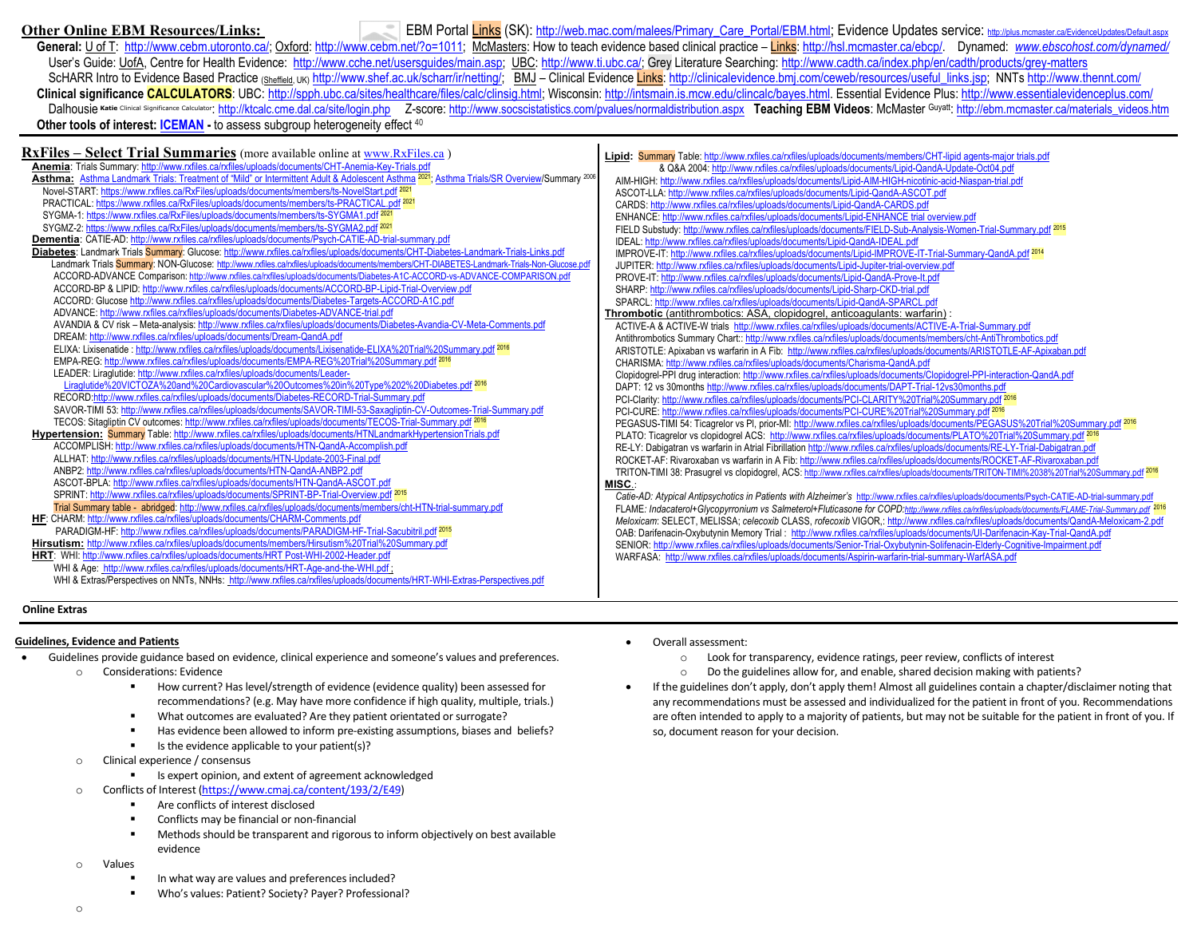**Other Online EBM Resources/Links:** EBM Portal Links (SK): [http://web.mac.com/malees/Primary\\_Care\\_Portal/EBM.html](http://web.mac.com/malees/Primary_Care_Portal/EBM.html); Evidence Updates service: <http://plus.mcmaster.ca/EvidenceUpdates/Default.aspx> General: U of T: http://www.cebm.utoronto.ca/: Oxford[: http://www.cebm.net/?o=1011;](http://www.cebm.net/?o=1011) McMasters: How to teach evidence based clinical practice - Links[: http://hsl.mcmaster.ca/ebcp/.](http://hsl.mcmaster.ca/ebcp/) Dynamed: www.ebscohost.com/dynamed/ User's Guide: UofA, Centre for Health Evidence: http://www.cche.net/usersquides/main.asp; UBC[: http://www.ti.ubc.ca/;](http://www.ti.ubc.ca/) Grey Literature Searching: http://www.cadth.ca/index.php/en/cadth/products/grey-matters ScHARR Intro to Evidence Based Practice (Sheffield, UK) [http://www.shef.ac.uk/scharr/ir/netting/;](http://www.shef.ac.uk/scharr/ir/netting/) BMJ – Clinical Evidence Links: [http://clinicalevidence.bmj.com/ceweb/resources/useful\\_links.jsp;](http://clinicalevidence.bmj.com/ceweb/resources/useful_links.jsp) NNTs http://www.thennt.com/ Clinical significance CALCULATORS: UBC: [http://spph.ubc.ca/sites/healthcare/files/calc/clinsig.html;](http://spph.ubc.ca/sites/healthcare/files/calc/clinsig.html) Wisconsin[: http://intsmain.is.mcw.edu/clincalc/bayes.html.](http://intsmain.is.mcw.edu/clincalc/bayes.html) Essential Evidence Plus: http://www.essentialevidenceplus.com/ Dalhousie Katie Clinical Significance Calculator: <http://ktcalc.cme.dal.ca/site/login.php> Z-score: <http://www.socscistatistics.com/pvalues/normaldistribution.aspx> Teaching EBM Videos: McMaster Guyatt: http://ebm.mcmaster.c **Other tools of interest: <b>ICEMAN** - to assess subgroup heterogeneity effect <sup>40</sup>

| <b>RxFiles - Select Trial Summaries</b> (more available online at <b>www.RxFiles.ca</b> )                                                                         | Lipid: Summary Table: http://www.rxfiles.ca/rxfiles/uploads/documents/members/CHT-lipid agents-major trials.pdf                    |
|-------------------------------------------------------------------------------------------------------------------------------------------------------------------|------------------------------------------------------------------------------------------------------------------------------------|
| Anemia: Trials Summary: http://www.rxfiles.ca/rxfiles/uploads/documents/CHT-Anemia-Key-Trials.pdf                                                                 | & Q&A 2004: http://www.rxfiles.ca/rxfiles/uploads/documents/Lipid-QandA-Update-Oct04.pdf                                           |
| Asthma: Asthma Landmark Trials: Treatment of "Mild" or Intermittent Adult & Adolescent Asthma <sup>2021</sup> ; Asthma Trials/SR Overview/Summary <sup>2006</sup> | AIM-HIGH: http://www.rxfiles.ca/rxfiles/uploads/documents/Lipid-AIM-HIGH-nicotinic-acid-Niaspan-trial.pdf                          |
| Novel-START: https://www.rxfiles.ca/RxFiles/uploads/documents/members/ts-NovelStart.pdf 2021                                                                      | ASCOT-LLA: http://www.rxfiles.ca/rxfiles/uploads/documents/Lipid-QandA-ASCOT.pdf                                                   |
| PRACTICAL: https://www.rxfiles.ca/RxFiles/uploads/documents/members/ts-PRACTICAL.pdf 2021                                                                         | CARDS: http://www.rxfiles.ca/rxfiles/uploads/documents/Lipid-QandA-CARDS.pdf                                                       |
| SYGMA-1: https://www.rxfiles.ca/RxFiles/uploads/documents/members/ts-SYGMA1.pdf <sup>2021</sup>                                                                   | ENHANCE: http://www.rxfiles.ca/rxfiles/uploads/documents/Lipid-ENHANCE trial overview.pdf                                          |
| SYGMZ-2: https://www.rxfiles.ca/RxFiles/uploads/documents/members/ts-SYGMA2.pdf <sup>2021</sup>                                                                   | FIELD Substudy: http://www.rxfiles.ca/rxfiles/uploads/documents/FIELD-Sub-Analysis-Women-Trial-Summary.pdf 2015                    |
| Dementia: CATIE-AD: http://www.rxfiles.ca/rxfiles/uploads/documents/Psych-CATIE-AD-trial-summary.pdf                                                              | IDEAL: http://www.rxfiles.ca/rxfiles/uploads/documents/Lipid-QandA-IDEAL.pdf                                                       |
| Diabetes: Landmark Trials Summary: Glucose: http://www.rxfiles.ca/rxfiles/uploads/documents/CHT-Diabetes-Landmark-Trials-Links.pdf                                | IMPROVE-IT: http://www.rxfiles.ca/rxfiles/uploads/documents/Lipid-IMPROVE-IT-Trial-Summary-QandA.pdf 2014                          |
| Landmark Trials <b>Summary</b> : NON-Glucose: http://www.rxfiles.ca/rxfiles/uploads/documents/members/CHT-DIABETES-Landmark-Trials-Non-Glucose.pdf                | JUPITER: http://www.rxfiles.ca/rxfiles/uploads/documents/Lipid-Jupiter-trial-overview.pdf                                          |
| ACCORD-ADVANCE Comparison: http://www.rxfiles.ca/rxfiles/uploads/documents/Diabetes-A1C-ACCORD-vs-ADVANCE-COMPARISON.pdf                                          | PROVE-IT: http://www.rxfiles.ca/rxfiles/uploads/documents/Lipid-QandA-Prove-It.pdf                                                 |
| ACCORD-BP & LIPID: http://www.rxfiles.ca/rxfiles/uploads/documents/ACCORD-BP-Lipid-Trial-Overview.pdf                                                             | SHARP: http://www.rxfiles.ca/rxfiles/uploads/documents/Lipid-Sharp-CKD-trial.pdf                                                   |
| ACCORD: Glucose http://www.rxfiles.ca/rxfiles/uploads/documents/Diabetes-Targets-ACCORD-A1C.pdf                                                                   | SPARCL: http://www.rxfiles.ca/rxfiles/uploads/documents/Lipid-QandA-SPARCL.pdf                                                     |
| ADVANCE: http://www.rxfiles.ca/rxfiles/uploads/documents/Diabetes-ADVANCE-trial.pdf                                                                               | Thrombotic (antithrombotics: ASA, clopidogrel, anticoagulants: warfarin)                                                           |
| AVANDIA & CV risk - Meta-analysis: http://www.rxfiles.ca/rxfiles/uploads/documents/Diabetes-Avandia-CV-Meta-Comments.pdf                                          | ACTIVE-A & ACTIVE-W trials http://www.rxfiles.ca/rxfiles/uploads/documents/ACTIVE-A-Trial-Summary.pdf                              |
| DREAM: http://www.rxfiles.ca/rxfiles/uploads/documents/Dream-QandA.pdf                                                                                            | Antithrombotics Summary Chart:: http://www.rxfiles.ca/rxfiles/uploads/documents/members/cht-AntiThrombotics.pdf                    |
| ELIXA: Lixisenatide : http://www.rxfiles.ca/rxfiles/uploads/documents/Lixisenatide-ELIXA%20Trial%20Summary.pdf 2016                                               | ARISTOTLE: Apixaban vs warfarin in A Fib: http://www.rxfiles.ca/rxfiles/uploads/documents/ARISTOTLE-AF-Apixaban.pdf                |
| EMPA-REG: http://www.rxfiles.ca/rxfiles/uploads/documents/EMPA-REG%20Trial%20Summary.pdf 2016                                                                     | CHARISMA: http://www.rxfiles.ca/rxfiles/uploads/documents/Charisma-QandA.pdf                                                       |
| LEADER: Liraglutide: http://www.rxfiles.ca/rxfiles/uploads/documents/Leader-                                                                                      | Clopidogrel-PPI drug interaction: http://www.rxfiles.ca/rxfiles/uploads/documents/Clopidogrel-PPI-interaction-QandA.pdf            |
| Liraglutide%20VICTOZA%20and%20Cardiovascular%20Outcomes%20in%20Type%202%20Diabetes.pdf <sup>2016</sup>                                                            | DAPT: 12 vs 30months http://www.rxfiles.ca/rxfiles/uploads/documents/DAPT-Trial-12vs30months.pdf                                   |
| RECORD:http://www.rxfiles.ca/rxfiles/uploads/documents/Diabetes-RECORD-Trial-Summary.pdf                                                                          | PCI-Clarity: http://www.rxfiles.ca/rxfiles/uploads/documents/PCI-CLARITY%20Trial%20Summary.pdf 2016                                |
| SAVOR-TIMI 53: http://www.rxfiles.ca/rxfiles/uploads/documents/SAVOR-TIMI-53-Saxagliptin-CV-Outcomes-Trial-Summary.pdf                                            | PCI-CURE: http://www.rxfiles.ca/rxfiles/uploads/documents/PCI-CURE%20Trial%20Summary.pdf <sup>2016</sup>                           |
| TECOS: Sitagliptin CV outcomes: http://www.rxfiles.ca/rxfiles/uploads/documents/TECOS-Trial-Summary.pdf 2016                                                      | PEGASUS-TIMI 54: Ticagrelor vs PI, prior-MI: http://www.rxfiles.ca/rxfiles/uploads/documents/PEGASUS%20Trial%20Summa               |
| Hypertension: Summary Table: http://www.rxfiles.ca/rxfiles/uploads/documents/HTNLandmarkHypertensionTrials.pdf                                                    | PLATO: Ticagrelor vs clopidogrel ACS: http://www.rxfiles.ca/rxfiles/uploads/documents/PLATO%20Trial%20Summary.pdf 2016             |
| ACCOMPLISH: http://www.rxfiles.ca/rxfiles/uploads/documents/HTN-QandA-Accomplish.pdf                                                                              | RE-LY: Dabigatran vs warfarin in Atrial Fibrillation http://www.rxfiles.ca/rxfiles/uploads/documents/RE-LY-Trial-Dabigatran.pdf    |
| ALLHAT: http://www.rxfiles.ca/rxfiles/uploads/documents/HTN-Update-2003-Final.pdf                                                                                 | ROCKET-AF: Rivaroxaban vs warfarin in A Fib: http://www.rxfiles.ca/rxfiles/uploads/documents/ROCKET-AF-Rivaroxaban.pdf             |
| ANBP2: http://www.rxfiles.ca/rxfiles/uploads/documents/HTN-QandA-ANBP2.pdf                                                                                        | TRITON-TIMI 38: Prasugrel vs clopidogrel, ACS: http://www.rxfiles.ca/rxfiles/uploads/documents/TRITON-TIMI%2038%20Trial%20S        |
| ASCOT-BPLA: http://www.rxfiles.ca/rxfiles/uploads/documents/HTN-QandA-ASCOT.pdf                                                                                   | <b>MISC.:</b>                                                                                                                      |
| SPRINT: http://www.rxfiles.ca/rxfiles/uploads/documents/SPRINT-BP-Trial-Overview.pdf 2015                                                                         | Catie-AD: Atypical Antipsychotics in Patients with Alzheimer's http://www.rxfiles.ca/rxfiles/uploads/documents/Psych-CATIE-AD-tria |
| Trial Summary table - abridged: http://www.rxfiles.ca/rxfiles/uploads/documents/members/cht-HTN-trial-summary.pdf                                                 | FLAME: Indacaterol+Glycopyrronium vs Salmeterol+Fluticasone for COPD:http://www.rxfiles.ca/rxfiles/uploads/documents/FLAME-Tria    |
| HF: CHARM: http://www.rxfiles.ca/rxfiles/uploads/documents/CHARM-Comments.pdf                                                                                     | Meloxicam: SELECT, MELISSA; celecoxib CLASS, rofecoxib VIGOR,: http://www.rxfiles.ca/rxfiles/uploads/documents/QandA-              |
| PARADIGM-HF: http://www.rxfiles.ca/rxfiles/uploads/documents/PARADIGM-HF-Trial-Sacubitril.pdf 2015                                                                | OAB: Darifenacin-Oxybutynin Memory Trial: http://www.rxfiles.ca/rxfiles/uploads/documents/UI-Darifenacin-Kay-Trial-QandA.p         |
| Hirsutism: http://www.rxfiles.ca/rxfiles/uploads/documents/members/Hirsutism%20Trial%20Summary.pdf                                                                | SENIOR: http://www.rxfiles.ca/rxfiles/uploads/documents/Senior-Trial-Oxybutynin-Solifenacin-Elderly-Cognitive-Impairment.pdf       |
| HRT: WHI: http://www.rxfiles.ca/rxfiles/uploads/documents/HRT Post-WHI-2002-Header.pdf                                                                            | WARFASA: http://www.rxfiles.ca/rxfiles/uploads/documents/Aspirin-warfarin-trial-summary-WarfASA.pdf                                |
| WHI & Age: http://www.rxfiles.ca/rxfiles/uploads/documents/HRT-Age-and-the-WHI.pdf;                                                                               |                                                                                                                                    |
| WHI & Extras/Perspectives on NNTs, NNHs: http://www.rxfiles.ca/rxfiles/uploads/documents/HRT-WHI-Extras-Perspectives.pdf                                          |                                                                                                                                    |

pid-AIM-HIGH-nicotinic-acid-Niaspan-trial.pdf Lipid-QandA-ASCOT.pdf -QandA-CARDS.pdf ipid-ENHANCE trial overview.pdf **ents/FIELD-Sub-Analysis-Women-Trial-Summary.pdf <sup>2015</sup>** QandA-IDEAL.pdf IMPROVE-IT-Trial-Summary-QandA.pdf <sup>2014</sup> id-Jupiter-trial-overview.pdf ipid-QandA-Prove-It.pdf - Sharp-CKD-trial.pdf  $id$ -OandA-SPARCL.pdf **Thrombotic Coagulants: warfarin)** : oads/documents/ACTIVE-A-Trial-Summary.pdf hioads/documents/members/cht-AntiThrombotics.pdf s.ca/rxfiles/uploads/documents/ARISTOTLE-AF-Apixaban.pdf Charisma-QandA.pdf uploads/documents/Clopidogrel-PPI-interaction-QandA.pdf ocuments/DAPT-Trial-12vs30months.pdf CI-CLARITY%20Trial%20Summary.pdf <sup>2016</sup> **CI-CURE%20Trial%20Summary.pdf** 2016 les.ca/rxfiles/uploads/documents/PEGASUS%20Trial%20Summary.pdf <sup>2016</sup> Pularies/uploads/documents/PLATO%20Trial%20Summary.pdf<sup>2016</sup> rxfiles.ca/rxfiles/uploads/documents/RE-LY-Trial-Dabigatran.pdf rfiles.ca/rxfiles/uploads/documents/ROCKET-AF-Rivaroxaban.pdf tfiles.ca/rxfiles/uploads/documents/TRITON-TIMI%2038%20Trial%20Summary.pdf <sup>2016</sup> *Catie-AD: Atypical Antipsychotics in Patients with Alzheimer's* <http://www.rxfiles.ca/rxfiles/uploads/documents/Psych-CATIE-AD-trial-summary.pdf> FLAME*[: Indacaterol+Glycopyrronium vs Salmeterol+Fluticasone for COPD:](http://www.rxfiles.ca/rxfiles/uploads/documents/FLAME-Trial-Summary.pdf)<http://www.rxfiles.ca/rxfiles/uploads/documents/FLAME-Trial-Summary.pdf>* 2016 *Meloxicam*: SELECT, MELISSA; *celecoxib* CLASS, *rofecoxib* VIGOR,[: http://www.rxfiles.ca/rxfiles/uploads/documents/QandA-Meloxicam-2.pdf](http://www.rxfiles.ca/rxfiles/uploads/documents/QandA-Meloxicam-2.pdf)  es.ca/rxfiles/uploads/documents/UI-Darifenacin-Kay-Trial-QandA.pdf

#### **Online Extras**

#### **Guidelines, Evidence and Patients**

- Guidelines provide guidance based on evidence, clinical experience and someone's values and preferences. o Considerations: Evidence
	- **How current? Has level/strength of evidence (evidence quality) been assessed for** recommendations? (e.g. May have more confidence if high quality, multiple, trials.)
	- What outcomes are evaluated? Are they patient orientated or surrogate?
	- Has evidence been allowed to inform pre-existing assumptions, biases and beliefs?
	- Is the evidence applicable to your patient(s)?
	- o Clinical experience / consensus
		- Is expert opinion, and extent of agreement acknowledged
	- o Conflicts of Interest [\(https://www.cmaj.ca/content/193/2/E49\)](https://www.cmaj.ca/content/193/2/E49)
		- **EXECUTE:** Are conflicts of interest disclosed
		- **EXECONFLICTS MAY be financial or non-financial**
		- Methods should be transparent and rigorous to inform objectively on best available evidence
	- o Values
		- In what way are values and preferences included?
		- Who's values: Patient? Society? Payer? Professional?
- Overall assessment:
	- o Look for transparency, evidence ratings, peer review, conflicts of interest
	- o Do the guidelines allow for, and enable, shared decision making with patients?
- If the guidelines don't apply, don't apply them! Almost all guidelines contain a chapter/disclaimer noting that any recommendations must be assessed and individualized for the patient in front of you. Recommendations are often intended to apply to a majority of patients, but may not be suitable for the patient in front of you. If so, document reason for your decision.